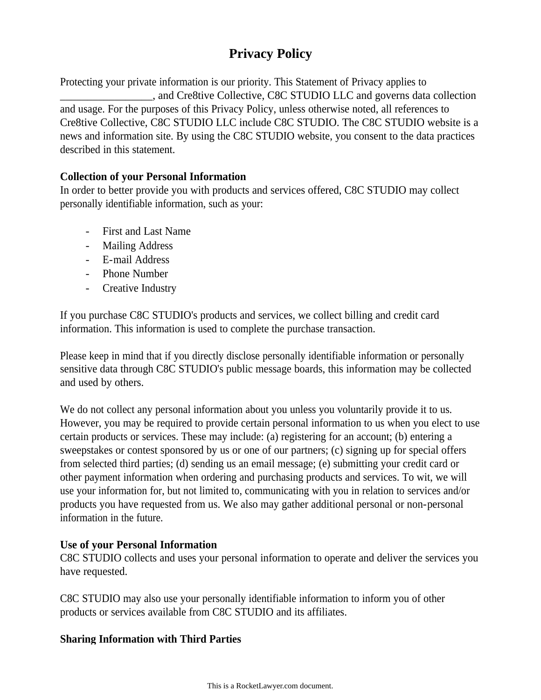# **Privacy Policy**

Protecting your private information is our priority. This Statement of Privacy applies to \_\_\_\_\_\_\_\_\_\_\_\_\_\_\_\_\_, and Cre8tive Collective, C8C STUDIO LLC and governs data collection and usage. For the purposes of this Privacy Policy, unless otherwise noted, all references to Cre8tive Collective, C8C STUDIO LLC include C8C STUDIO. The C8C STUDIO website is a news and information site. By using the C8C STUDIO website, you consent to the data practices described in this statement.

# **Collection of your Personal Information**

In order to better provide you with products and services offered, C8C STUDIO may collect personally identifiable information, such as your:

- First and Last Name
- Mailing Address
- E-mail Address
- Phone Number
- Creative Industry

If you purchase C8C STUDIO's products and services, we collect billing and credit card information. This information is used to complete the purchase transaction.

Please keep in mind that if you directly disclose personally identifiable information or personally sensitive data through C8C STUDIO's public message boards, this information may be collected and used by others.

We do not collect any personal information about you unless you voluntarily provide it to us. However, you may be required to provide certain personal information to us when you elect to use certain products or services. These may include: (a) registering for an account; (b) entering a sweepstakes or contest sponsored by us or one of our partners; (c) signing up for special offers from selected third parties; (d) sending us an email message; (e) submitting your credit card or other payment information when ordering and purchasing products and services. To wit, we will use your information for, but not limited to, communicating with you in relation to services and/or products you have requested from us. We also may gather additional personal or non-personal information in the future.

# **Use of your Personal Information**

C8C STUDIO collects and uses your personal information to operate and deliver the services you have requested.

C8C STUDIO may also use your personally identifiable information to inform you of other products or services available from C8C STUDIO and its affiliates.

# **Sharing Information with Third Parties**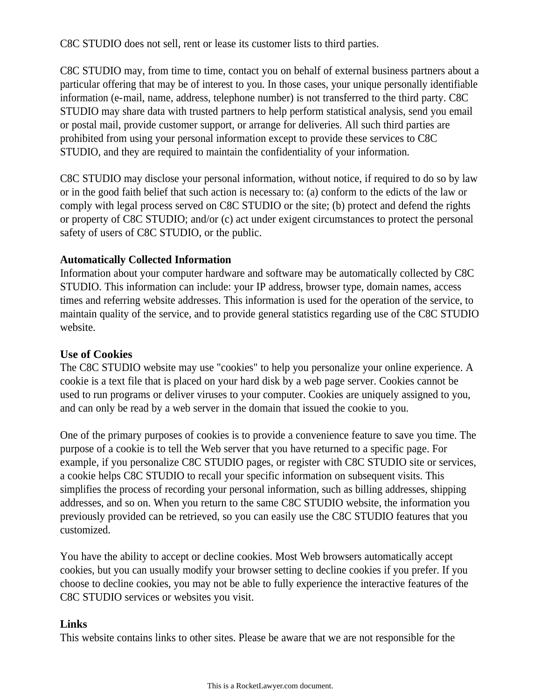C8C STUDIO does not sell, rent or lease its customer lists to third parties.

C8C STUDIO may, from time to time, contact you on behalf of external business partners about a particular offering that may be of interest to you. In those cases, your unique personally identifiable information (e-mail, name, address, telephone number) is not transferred to the third party. C8C STUDIO may share data with trusted partners to help perform statistical analysis, send you email or postal mail, provide customer support, or arrange for deliveries. All such third parties are prohibited from using your personal information except to provide these services to C8C STUDIO, and they are required to maintain the confidentiality of your information.

C8C STUDIO may disclose your personal information, without notice, if required to do so by law or in the good faith belief that such action is necessary to: (a) conform to the edicts of the law or comply with legal process served on C8C STUDIO or the site; (b) protect and defend the rights or property of C8C STUDIO; and/or (c) act under exigent circumstances to protect the personal safety of users of C8C STUDIO, or the public.

### **Automatically Collected Information**

Information about your computer hardware and software may be automatically collected by C8C STUDIO. This information can include: your IP address, browser type, domain names, access times and referring website addresses. This information is used for the operation of the service, to maintain quality of the service, and to provide general statistics regarding use of the C8C STUDIO website.

## **Use of Cookies**

The C8C STUDIO website may use "cookies" to help you personalize your online experience. A cookie is a text file that is placed on your hard disk by a web page server. Cookies cannot be used to run programs or deliver viruses to your computer. Cookies are uniquely assigned to you, and can only be read by a web server in the domain that issued the cookie to you.

One of the primary purposes of cookies is to provide a convenience feature to save you time. The purpose of a cookie is to tell the Web server that you have returned to a specific page. For example, if you personalize C8C STUDIO pages, or register with C8C STUDIO site or services, a cookie helps C8C STUDIO to recall your specific information on subsequent visits. This simplifies the process of recording your personal information, such as billing addresses, shipping addresses, and so on. When you return to the same C8C STUDIO website, the information you previously provided can be retrieved, so you can easily use the C8C STUDIO features that you customized.

You have the ability to accept or decline cookies. Most Web browsers automatically accept cookies, but you can usually modify your browser setting to decline cookies if you prefer. If you choose to decline cookies, you may not be able to fully experience the interactive features of the C8C STUDIO services or websites you visit.

### **Links**

This website contains links to other sites. Please be aware that we are not responsible for the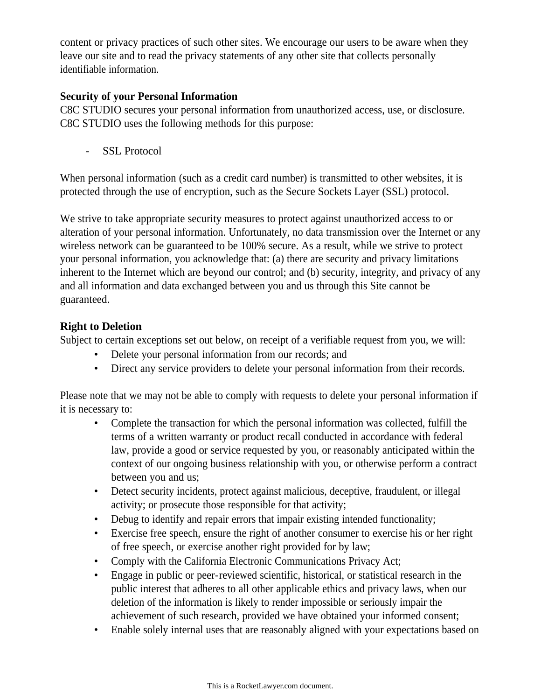content or privacy practices of such other sites. We encourage our users to be aware when they leave our site and to read the privacy statements of any other site that collects personally identifiable information.

# **Security of your Personal Information**

C8C STUDIO secures your personal information from unauthorized access, use, or disclosure. C8C STUDIO uses the following methods for this purpose:

- SSL Protocol

When personal information (such as a credit card number) is transmitted to other websites, it is protected through the use of encryption, such as the Secure Sockets Layer (SSL) protocol.

We strive to take appropriate security measures to protect against unauthorized access to or alteration of your personal information. Unfortunately, no data transmission over the Internet or any wireless network can be guaranteed to be 100% secure. As a result, while we strive to protect your personal information, you acknowledge that: (a) there are security and privacy limitations inherent to the Internet which are beyond our control; and (b) security, integrity, and privacy of any and all information and data exchanged between you and us through this Site cannot be guaranteed.

# **Right to Deletion**

Subject to certain exceptions set out below, on receipt of a verifiable request from you, we will:

- Delete your personal information from our records; and
- Direct any service providers to delete your personal information from their records.

Please note that we may not be able to comply with requests to delete your personal information if it is necessary to:

- Complete the transaction for which the personal information was collected, fulfill the terms of a written warranty or product recall conducted in accordance with federal law, provide a good or service requested by you, or reasonably anticipated within the context of our ongoing business relationship with you, or otherwise perform a contract between you and us;
- Detect security incidents, protect against malicious, deceptive, fraudulent, or illegal activity; or prosecute those responsible for that activity;
- Debug to identify and repair errors that impair existing intended functionality;
- Exercise free speech, ensure the right of another consumer to exercise his or her right of free speech, or exercise another right provided for by law;
- Comply with the California Electronic Communications Privacy Act;
- Engage in public or peer-reviewed scientific, historical, or statistical research in the public interest that adheres to all other applicable ethics and privacy laws, when our deletion of the information is likely to render impossible or seriously impair the achievement of such research, provided we have obtained your informed consent;
- Enable solely internal uses that are reasonably aligned with your expectations based on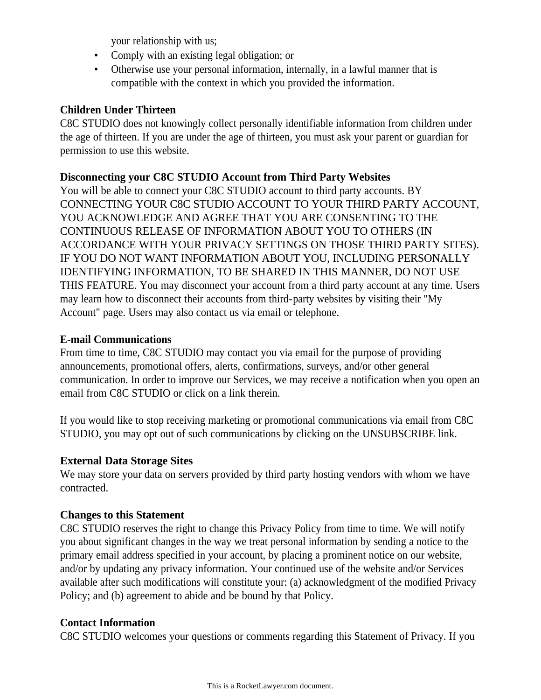your relationship with us;

- Comply with an existing legal obligation; or
- Otherwise use your personal information, internally, in a lawful manner that is compatible with the context in which you provided the information.

### **Children Under Thirteen**

C8C STUDIO does not knowingly collect personally identifiable information from children under the age of thirteen. If you are under the age of thirteen, you must ask your parent or guardian for permission to use this website.

### **Disconnecting your C8C STUDIO Account from Third Party Websites**

You will be able to connect your C8C STUDIO account to third party accounts. BY CONNECTING YOUR C8C STUDIO ACCOUNT TO YOUR THIRD PARTY ACCOUNT, YOU ACKNOWLEDGE AND AGREE THAT YOU ARE CONSENTING TO THE CONTINUOUS RELEASE OF INFORMATION ABOUT YOU TO OTHERS (IN ACCORDANCE WITH YOUR PRIVACY SETTINGS ON THOSE THIRD PARTY SITES). IF YOU DO NOT WANT INFORMATION ABOUT YOU, INCLUDING PERSONALLY IDENTIFYING INFORMATION, TO BE SHARED IN THIS MANNER, DO NOT USE THIS FEATURE. You may disconnect your account from a third party account at any time. Users may learn how to disconnect their accounts from third-party websites by visiting their "My Account" page. Users may also contact us via email or telephone.

### **E-mail Communications**

From time to time, C8C STUDIO may contact you via email for the purpose of providing announcements, promotional offers, alerts, confirmations, surveys, and/or other general communication. In order to improve our Services, we may receive a notification when you open an email from C8C STUDIO or click on a link therein.

If you would like to stop receiving marketing or promotional communications via email from C8C STUDIO, you may opt out of such communications by clicking on the UNSUBSCRIBE link.

# **External Data Storage Sites**

We may store your data on servers provided by third party hosting vendors with whom we have contracted.

# **Changes to this Statement**

C8C STUDIO reserves the right to change this Privacy Policy from time to time. We will notify you about significant changes in the way we treat personal information by sending a notice to the primary email address specified in your account, by placing a prominent notice on our website, and/or by updating any privacy information. Your continued use of the website and/or Services available after such modifications will constitute your: (a) acknowledgment of the modified Privacy Policy; and (b) agreement to abide and be bound by that Policy.

## **Contact Information**

C8C STUDIO welcomes your questions or comments regarding this Statement of Privacy. If you